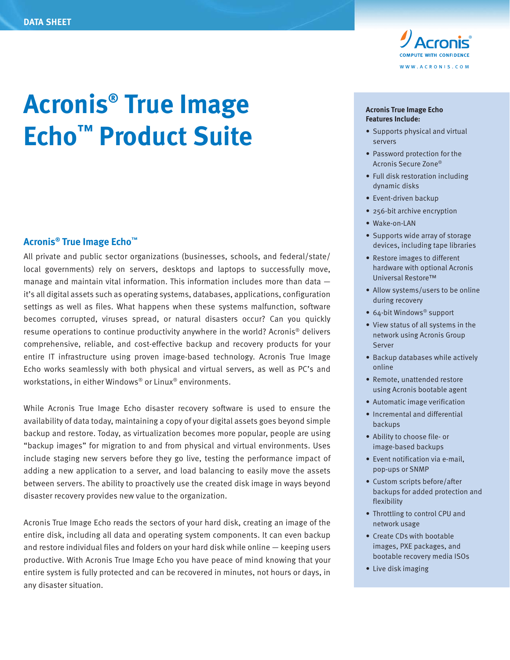

# **Acronis® True Image Echo™ Product Suite**

#### **Acronis® True Image Echo™**

All private and public sector organizations (businesses, schools, and federal/state/ local governments) rely on servers, desktops and laptops to successfully move, manage and maintain vital information. This information includes more than data  $$ it's all digital assets such as operating systems, databases, applications, configuration settings as well as files. What happens when these systems malfunction, software becomes corrupted, viruses spread, or natural disasters occur? Can you quickly resume operations to continue productivity anywhere in the world? Acronis® delivers comprehensive, reliable, and cost-effective backup and recovery products for your entire IT infrastructure using proven image-based technology. Acronis True Image Echo works seamlessly with both physical and virtual servers, as well as PC's and workstations, in either Windows® or Linux® environments.

While Acronis True Image Echo disaster recovery software is used to ensure the availability of data today, maintaining a copy of your digital assets goes beyond simple backup and restore. Today, as virtualization becomes more popular, people are using "backup images" for migration to and from physical and virtual environments. Uses include staging new servers before they go live, testing the performance impact of adding a new application to a server, and load balancing to easily move the assets between servers. The ability to proactively use the created disk image in ways beyond disaster recovery provides new value to the organization.

Acronis True Image Echo reads the sectors of your hard disk, creating an image of the entire disk, including all data and operating system components. It can even backup and restore individual files and folders on your hard disk while online — keeping users productive. With Acronis True Image Echo you have peace of mind knowing that your entire system is fully protected and can be recovered in minutes, not hours or days, in any disaster situation.

#### **Acronis True Image Echo Features Include:**

- Supports physical and virtual servers
- Password protection for the Acronis Secure Zone®
- Full disk restoration including dynamic disks
- Event-driven backup
- 256-bit archive encryption
- Wake-on-LAN
- Supports wide array of storage devices, including tape libraries
- Restore images to different hardware with optional Acronis Universal Restore™
- Allow systems/users to be online during recovery
- 64-bit Windows® support
- View status of all systems in the network using Acronis Group Server
- Backup databases while actively online
- Remote, unattended restore using Acronis bootable agent
- Automatic image verification
- Incremental and differential backups
- Ability to choose file- or image-based backups
- Event notification via e-mail, pop-ups or SNMP
- Custom scripts before/after backups for added protection and flexibility
- Throttling to control CPU and network usage
- Create CDs with bootable images, PXE packages, and bootable recovery media ISOs
- Live disk imaging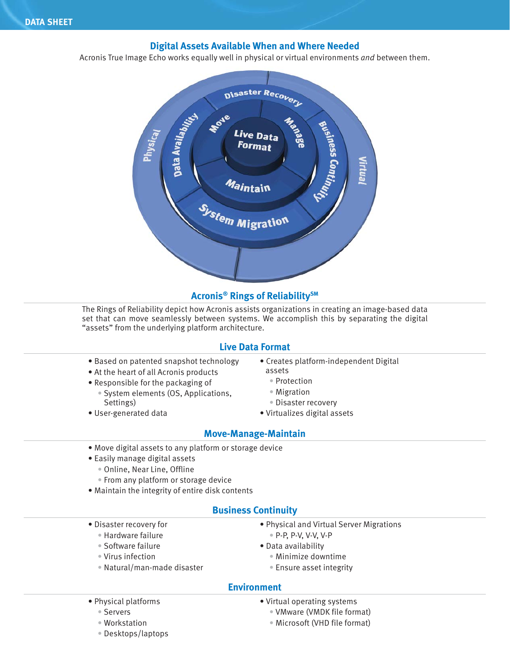## **Digital Assets Available When and Where Needed**

Acronis True Image Echo works equally well in physical or virtual environments *and* between them.



## **Acronis® Rings of ReliabilitySM**

The Rings of Reliability depict how Acronis assists organizations in creating an image-based data set that can move seamlessly between systems. We accomplish this by separating the digital "assets" from the underlying platform architecture.

#### **Live Data Format**

- Based on patented snapshot technology
- At the heart of all Acronis products
- Responsible for the packaging of
	- System elements (OS, Applications, Settings)
- User-generated data
- Creates platform-independent Digital assets
	- Protection
	- Migration
	- Disaster recovery
- Virtualizes digital assets

## **Move-Manage-Maintain**

- Move digital assets to any platform or storage device
- Easily manage digital assets
	- Online, Near Line, Offline
	- From any platform or storage device
- Maintain the integrity of entire disk contents

#### **Business Continuity**

- Disaster recovery for
	- Hardware failure
	- Software failure
	- Virus infection
	- Natural/man-made disaster
- Physical and Virtual Server Migrations • P-P, P-V, V-V, V-P
- Data availability
	- Minimize downtime
	- Ensure asset integrity

#### **Environment**

- Physical platforms
	- Servers
	- Workstation
	- Desktops/laptops
- Virtual operating systems
	- VMware (VMDK file format)
	- Microsoft (VHD file format)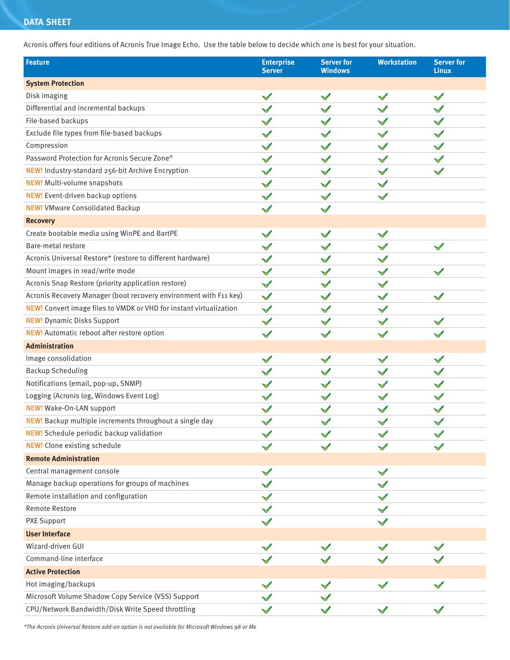## **DATA SHEET**

Acronis offers four editions of Acronis True Image Echo. Use the table below to decide which one is best for your situation.

| <b>Feature</b>                                                            | <b>Enterprise</b><br><b>Server</b> | <b>Server for</b><br><b>Windows</b> | <b>Workstation</b> | <b>Server for</b><br><b>Linux</b> |
|---------------------------------------------------------------------------|------------------------------------|-------------------------------------|--------------------|-----------------------------------|
| <b>System Protection</b>                                                  |                                    |                                     |                    |                                   |
| Disk imaging                                                              | $\checkmark$                       |                                     | $\checkmark$       | $\checkmark$                      |
| Differential and incremental backups                                      |                                    |                                     |                    |                                   |
| File-based backups                                                        |                                    |                                     |                    |                                   |
| Exclude file types from file-based backups                                |                                    |                                     |                    |                                   |
| Compression                                                               |                                    |                                     |                    |                                   |
| Password Protection for Acronis Secure Zone®                              |                                    |                                     |                    |                                   |
| NEW! Industry-standard 256-bit Archive Encryption                         |                                    |                                     |                    |                                   |
| <b>NEW!</b> Multi-volume snapshots                                        |                                    |                                     |                    |                                   |
| <b>NEW!</b> Event-driven backup options                                   |                                    |                                     |                    |                                   |
| <b>NEW!</b> VMware Consolidated Backup                                    |                                    |                                     |                    |                                   |
| <b>Recovery</b>                                                           |                                    |                                     |                    |                                   |
| Create bootable media using WinPE and BartPE                              |                                    |                                     |                    |                                   |
| Bare-metal restore                                                        |                                    |                                     |                    |                                   |
| Acronis Universal Restore* (restore to different hardware)                |                                    |                                     |                    |                                   |
| Mount images in read/write mode                                           |                                    |                                     |                    |                                   |
| Acronis Snap Restore (priority application restore)                       |                                    |                                     |                    |                                   |
| Acronis Recovery Manager (boot recovery environment with F11 key)         | $\checkmark$                       |                                     |                    |                                   |
| <b>NEW!</b> Convert image files to VMDK or VHD for instant virtualization |                                    |                                     |                    |                                   |
| <b>NEW!</b> Dynamic Disks Support                                         |                                    |                                     |                    |                                   |
| NEW! Automatic reboot after restore option                                |                                    |                                     |                    |                                   |
| <b>Administration</b>                                                     |                                    |                                     |                    |                                   |
| Image consolidation                                                       |                                    |                                     |                    |                                   |
| <b>Backup Scheduling</b>                                                  |                                    |                                     |                    |                                   |
| Notifications (email, pop-up, SNMP)                                       |                                    |                                     |                    |                                   |
| Logging (Acronis log, Windows Event Log)                                  |                                    |                                     |                    |                                   |
| NEW! Wake-On-LAN support                                                  |                                    |                                     |                    |                                   |
| NEW! Backup multiple increments throughout a single day                   |                                    |                                     |                    |                                   |
| <b>NEW!</b> Schedule periodic backup validation                           |                                    |                                     |                    |                                   |
| <b>NEW!</b> Clone existing schedule                                       |                                    |                                     |                    |                                   |
| <b>Remote Administration</b>                                              |                                    |                                     |                    |                                   |
| Central management console                                                |                                    |                                     | $\checkmark$       |                                   |
| Manage backup operations for groups of machines                           |                                    |                                     |                    |                                   |
| Remote installation and configuration                                     |                                    |                                     |                    |                                   |
| Remote Restore                                                            |                                    |                                     |                    |                                   |
| PXE Support                                                               |                                    |                                     |                    |                                   |
| <b>User Interface</b>                                                     |                                    |                                     |                    |                                   |
| Wizard-driven GUI                                                         |                                    |                                     |                    |                                   |
| Command-line interface                                                    |                                    |                                     |                    |                                   |
| <b>Active Protection</b>                                                  |                                    |                                     |                    |                                   |
| Hot imaging/backups                                                       |                                    |                                     |                    |                                   |
| Microsoft Volume Shadow Copy Service (VSS) Support                        |                                    |                                     |                    |                                   |
| CPU/Network Bandwidth/Disk Write Speed throttling                         |                                    |                                     |                    |                                   |
|                                                                           |                                    |                                     |                    |                                   |

*\*The Acronis Universal Restore add-on option is not available for Microsoft Windows 98 or Me*